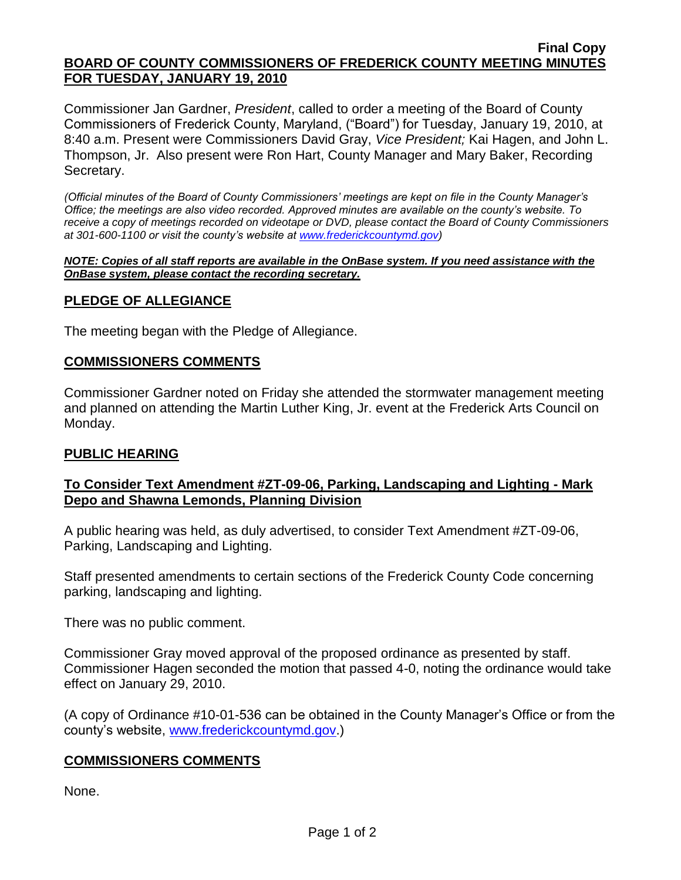#### **Final Copy BOARD OF COUNTY COMMISSIONERS OF FREDERICK COUNTY MEETING MINUTES FOR TUESDAY, JANUARY 19, 2010**

Commissioner Jan Gardner, *President*, called to order a meeting of the Board of County Commissioners of Frederick County, Maryland, ("Board") for Tuesday, January 19, 2010, at 8:40 a.m. Present were Commissioners David Gray, *Vice President;* Kai Hagen, and John L. Thompson, Jr. Also present were Ron Hart, County Manager and Mary Baker, Recording Secretary.

*(Official minutes of the Board of County Commissioners' meetings are kept on file in the County Manager's Office; the meetings are also video recorded. Approved minutes are available on the county's website. To receive a copy of meetings recorded on videotape or DVD, please contact the Board of County Commissioners at 301-600-1100 or visit the county's website at [www.frederickcountymd.gov\)](file:\\NT1S5\BOCC\BOCC\BOCC%20Minutes\Mary)*

#### *NOTE: Copies of all staff reports are available in the OnBase system. If you need assistance with the OnBase system, please contact the recording secretary.*

## **PLEDGE OF ALLEGIANCE**

The meeting began with the Pledge of Allegiance.

## **COMMISSIONERS COMMENTS**

Commissioner Gardner noted on Friday she attended the stormwater management meeting and planned on attending the Martin Luther King, Jr. event at the Frederick Arts Council on Monday.

## **PUBLIC HEARING**

## **To Consider Text Amendment #ZT-09-06, Parking, Landscaping and Lighting - Mark Depo and Shawna Lemonds, Planning Division**

A public hearing was held, as duly advertised, to consider Text Amendment #ZT-09-06, Parking, Landscaping and Lighting.

Staff presented amendments to certain sections of the Frederick County Code concerning parking, landscaping and lighting.

There was no public comment.

Commissioner Gray moved approval of the proposed ordinance as presented by staff. Commissioner Hagen seconded the motion that passed 4-0, noting the ordinance would take effect on January 29, 2010.

(A copy of Ordinance #10-01-536 can be obtained in the County Manager's Office or from the county's website, [www.frederickcountymd.gov.](file:\\NT1S5\BOCC\BOCC\BOCC%20Minutes\Mary))

## **COMMISSIONERS COMMENTS**

None.